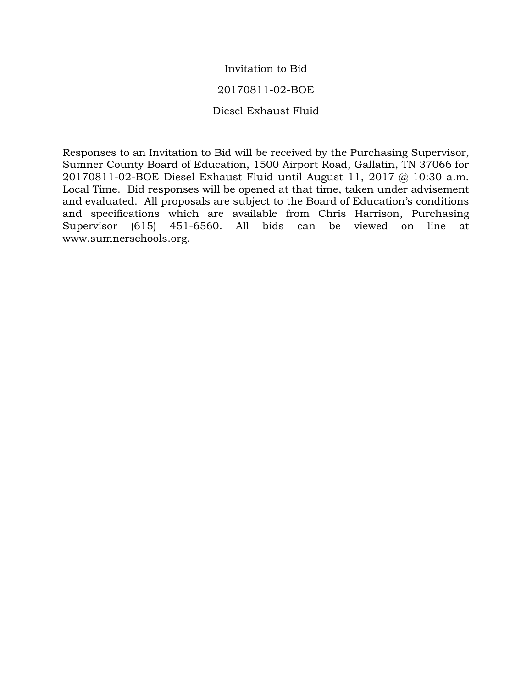# Invitation to Bid

# 20170811-02-BOE

# Diesel Exhaust Fluid

Responses to an Invitation to Bid will be received by the Purchasing Supervisor, Sumner County Board of Education, 1500 Airport Road, Gallatin, TN 37066 for 20170811-02-BOE Diesel Exhaust Fluid until August 11, 2017 @ 10:30 a.m. Local Time. Bid responses will be opened at that time, taken under advisement and evaluated. All proposals are subject to the Board of Education's conditions and specifications which are available from Chris Harrison, Purchasing Supervisor (615) 451-6560. All bids can be viewed on line at www.sumnerschools.org.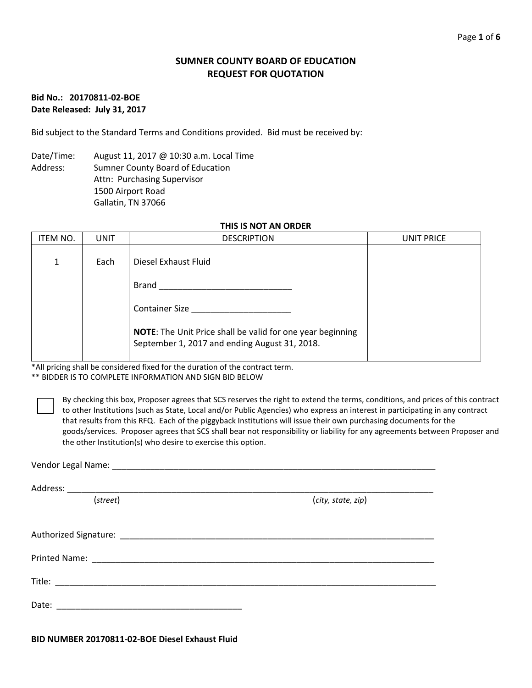### **SUMNER COUNTY BOARD OF EDUCATION REQUEST FOR QUOTATION**

### **Bid No.: 20170811-02-BOE Date Released: July 31, 2017**

Bid subject to the Standard Terms and Conditions provided. Bid must be received by:

Date/Time: August 11, 2017 @ 10:30 a.m. Local Time Address: Sumner County Board of Education Attn: Purchasing Supervisor 1500 Airport Road Gallatin, TN 37066

### **THIS IS NOT AN ORDER**

| ITEM NO. | UNIT | <b>DESCRIPTION</b>                                                                                                 | UNIT PRICE |
|----------|------|--------------------------------------------------------------------------------------------------------------------|------------|
| 1        | Each | Diesel Exhaust Fluid                                                                                               |            |
|          |      | Brand                                                                                                              |            |
|          |      | <b>Container Size</b>                                                                                              |            |
|          |      | <b>NOTE:</b> The Unit Price shall be valid for one year beginning<br>September 1, 2017 and ending August 31, 2018. |            |

\*All pricing shall be considered fixed for the duration of the contract term.

\*\* BIDDER IS TO COMPLETE INFORMATION AND SIGN BID BELOW

By checking this box, Proposer agrees that SCS reserves the right to extend the terms, conditions, and prices of this contract to other Institutions (such as State, Local and/or Public Agencies) who express an interest in participating in any contract that results from this RFQ. Each of the piggyback Institutions will issue their own purchasing documents for the goods/services. Proposer agrees that SCS shall bear not responsibility or liability for any agreements between Proposer and the other Institution(s) who desire to exercise this option.

| (street) | (city, state, zip) |
|----------|--------------------|
|          |                    |
|          |                    |
|          |                    |
|          |                    |
|          |                    |
|          |                    |
|          |                    |
|          |                    |
|          |                    |
| Date:    |                    |
|          |                    |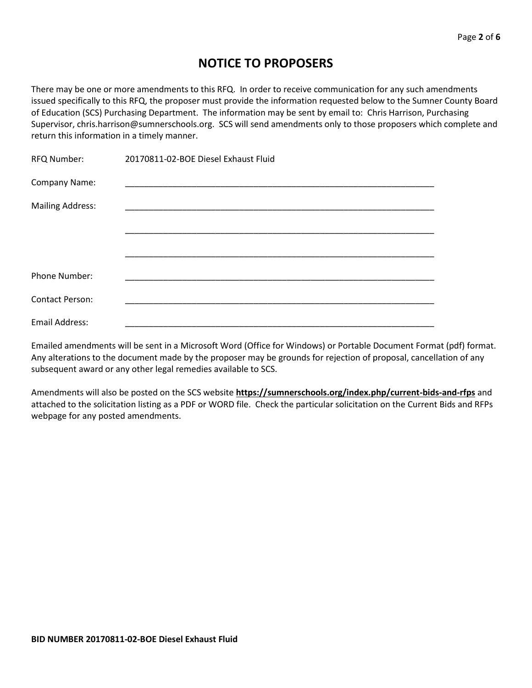# **NOTICE TO PROPOSERS**

There may be one or more amendments to this RFQ. In order to receive communication for any such amendments issued specifically to this RFQ, the proposer must provide the information requested below to the Sumner County Board of Education (SCS) Purchasing Department. The information may be sent by email to: Chris Harrison, Purchasing Supervisor, chris.harrison@sumnerschools.org. SCS will send amendments only to those proposers which complete and return this information in a timely manner.

| RFQ Number:             | 20170811-02-BOE Diesel Exhaust Fluid |
|-------------------------|--------------------------------------|
| Company Name:           |                                      |
| <b>Mailing Address:</b> |                                      |
|                         |                                      |
|                         |                                      |
|                         |                                      |
| Phone Number:           |                                      |
| <b>Contact Person:</b>  |                                      |
| <b>Email Address:</b>   |                                      |

Emailed amendments will be sent in a Microsoft Word (Office for Windows) or Portable Document Format (pdf) format. Any alterations to the document made by the proposer may be grounds for rejection of proposal, cancellation of any subsequent award or any other legal remedies available to SCS.

Amendments will also be posted on the SCS website **https://sumnerschools.org/index.php/current-bids-and-rfps** and attached to the solicitation listing as a PDF or WORD file. Check the particular solicitation on the Current Bids and RFPs webpage for any posted amendments.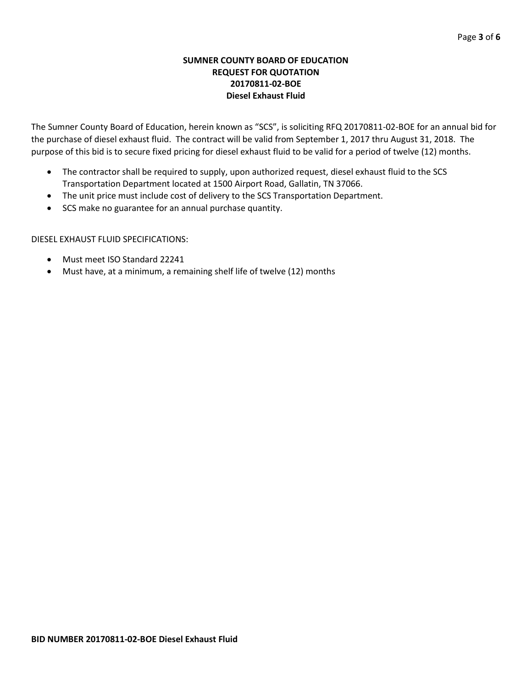### **SUMNER COUNTY BOARD OF EDUCATION REQUEST FOR QUOTATION 20170811-02-BOE Diesel Exhaust Fluid**

The Sumner County Board of Education, herein known as "SCS", is soliciting RFQ 20170811-02-BOE for an annual bid for the purchase of diesel exhaust fluid. The contract will be valid from September 1, 2017 thru August 31, 2018. The purpose of this bid is to secure fixed pricing for diesel exhaust fluid to be valid for a period of twelve (12) months.

- The contractor shall be required to supply, upon authorized request, diesel exhaust fluid to the SCS Transportation Department located at 1500 Airport Road, Gallatin, TN 37066.
- The unit price must include cost of delivery to the SCS Transportation Department.
- SCS make no guarantee for an annual purchase quantity.

### DIESEL EXHAUST FLUID SPECIFICATIONS:

- Must meet ISO Standard 22241
- Must have, at a minimum, a remaining shelf life of twelve (12) months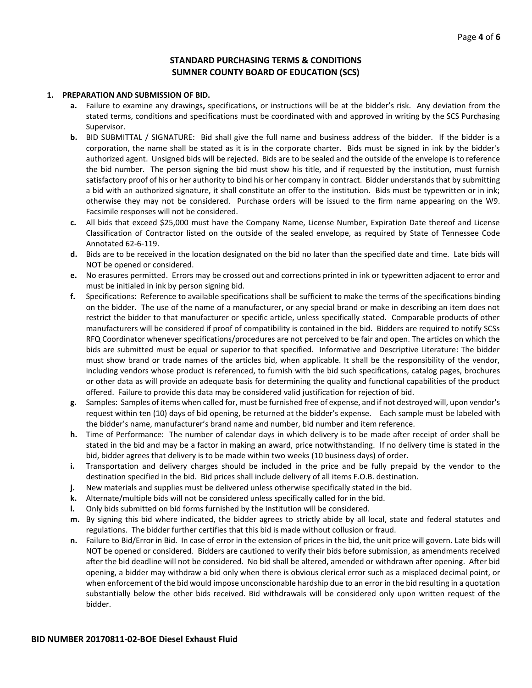### **STANDARD PURCHASING TERMS & CONDITIONS SUMNER COUNTY BOARD OF EDUCATION (SCS)**

#### **1. PREPARATION AND SUBMISSION OF BID.**

- **a.** Failure to examine any drawings**,** specifications, or instructions will be at the bidder's risk. Any deviation from the stated terms, conditions and specifications must be coordinated with and approved in writing by the SCS Purchasing Supervisor.
- **b.** BID SUBMITTAL / SIGNATURE: Bid shall give the full name and business address of the bidder. If the bidder is a corporation, the name shall be stated as it is in the corporate charter. Bids must be signed in ink by the bidder's authorized agent. Unsigned bids will be rejected. Bids are to be sealed and the outside of the envelope is to reference the bid number. The person signing the bid must show his title, and if requested by the institution, must furnish satisfactory proof of his or her authority to bind his or her company in contract. Bidder understands that by submitting a bid with an authorized signature, it shall constitute an offer to the institution. Bids must be typewritten or in ink; otherwise they may not be considered. Purchase orders will be issued to the firm name appearing on the W9. Facsimile responses will not be considered.
- **c.** All bids that exceed \$25,000 must have the Company Name, License Number, Expiration Date thereof and License Classification of Contractor listed on the outside of the sealed envelope, as required by State of Tennessee Code Annotated 62-6-119.
- **d.** Bids are to be received in the location designated on the bid no later than the specified date and time. Late bids will NOT be opened or considered.
- **e.** No erasures permitted. Errors may be crossed out and corrections printed in ink or typewritten adjacent to error and must be initialed in ink by person signing bid.
- **f.** Specifications: Reference to available specifications shall be sufficient to make the terms of the specifications binding on the bidder. The use of the name of a manufacturer, or any special brand or make in describing an item does not restrict the bidder to that manufacturer or specific article, unless specifically stated. Comparable products of other manufacturers will be considered if proof of compatibility is contained in the bid. Bidders are required to notify SCSs RFQ Coordinator whenever specifications/procedures are not perceived to be fair and open. The articles on which the bids are submitted must be equal or superior to that specified. Informative and Descriptive Literature: The bidder must show brand or trade names of the articles bid, when applicable. It shall be the responsibility of the vendor, including vendors whose product is referenced, to furnish with the bid such specifications, catalog pages, brochures or other data as will provide an adequate basis for determining the quality and functional capabilities of the product offered. Failure to provide this data may be considered valid justification for rejection of bid.
- **g.** Samples: Samples of items when called for, must be furnished free of expense, and if not destroyed will, upon vendor's request within ten (10) days of bid opening, be returned at the bidder's expense. Each sample must be labeled with the bidder's name, manufacturer's brand name and number, bid number and item reference.
- **h.** Time of Performance: The number of calendar days in which delivery is to be made after receipt of order shall be stated in the bid and may be a factor in making an award, price notwithstanding. If no delivery time is stated in the bid, bidder agrees that delivery is to be made within two weeks (10 business days) of order.
- **i.** Transportation and delivery charges should be included in the price and be fully prepaid by the vendor to the destination specified in the bid. Bid prices shall include delivery of all items F.O.B. destination.
- **j.** New materials and supplies must be delivered unless otherwise specifically stated in the bid.
- **k.** Alternate/multiple bids will not be considered unless specifically called for in the bid.
- **l.** Only bids submitted on bid forms furnished by the Institution will be considered.
- **m.** By signing this bid where indicated, the bidder agrees to strictly abide by all local, state and federal statutes and regulations. The bidder further certifies that this bid is made without collusion or fraud.
- **n.** Failure to Bid/Error in Bid. In case of error in the extension of prices in the bid, the unit price will govern. Late bids will NOT be opened or considered. Bidders are cautioned to verify their bids before submission, as amendments received after the bid deadline will not be considered. No bid shall be altered, amended or withdrawn after opening. After bid opening, a bidder may withdraw a bid only when there is obvious clerical error such as a misplaced decimal point, or when enforcement of the bid would impose unconscionable hardship due to an error in the bid resulting in a quotation substantially below the other bids received. Bid withdrawals will be considered only upon written request of the bidder.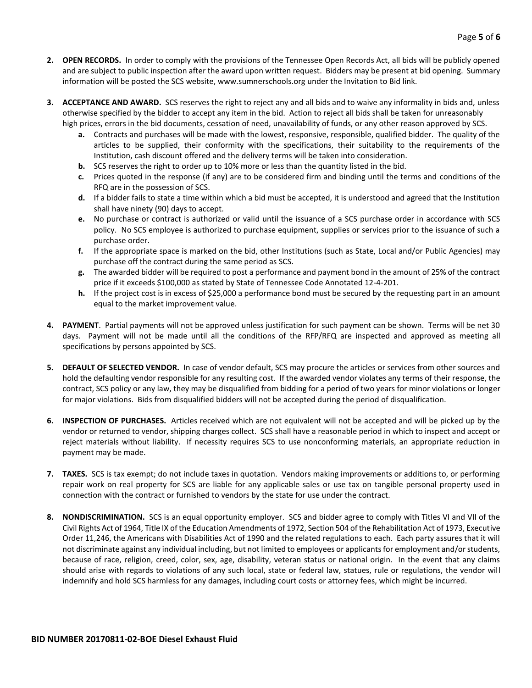- **2. OPEN RECORDS.** In order to comply with the provisions of the Tennessee Open Records Act, all bids will be publicly opened and are subject to public inspection after the award upon written request. Bidders may be present at bid opening. Summary information will be posted the SCS website, www.sumnerschools.org under the Invitation to Bid link.
- **3. ACCEPTANCE AND AWARD.** SCS reserves the right to reject any and all bids and to waive any informality in bids and, unless otherwise specified by the bidder to accept any item in the bid. Action to reject all bids shall be taken for unreasonably high prices, errors in the bid documents, cessation of need, unavailability of funds, or any other reason approved by SCS.
	- **a.** Contracts and purchases will be made with the lowest, responsive, responsible, qualified bidder. The quality of the articles to be supplied, their conformity with the specifications, their suitability to the requirements of the Institution, cash discount offered and the delivery terms will be taken into consideration.
	- **b.** SCS reserves the right to order up to 10% more or less than the quantity listed in the bid.
	- **c.** Prices quoted in the response (if any) are to be considered firm and binding until the terms and conditions of the RFQ are in the possession of SCS.
	- **d.** If a bidder fails to state a time within which a bid must be accepted, it is understood and agreed that the Institution shall have ninety (90) days to accept.
	- **e.** No purchase or contract is authorized or valid until the issuance of a SCS purchase order in accordance with SCS policy. No SCS employee is authorized to purchase equipment, supplies or services prior to the issuance of such a purchase order.
	- **f.** If the appropriate space is marked on the bid, other Institutions (such as State, Local and/or Public Agencies) may purchase off the contract during the same period as SCS.
	- **g.** The awarded bidder will be required to post a performance and payment bond in the amount of 25% of the contract price if it exceeds \$100,000 as stated by State of Tennessee Code Annotated 12-4-201.
	- **h.** If the project cost is in excess of \$25,000 a performance bond must be secured by the requesting part in an amount equal to the market improvement value.
- **4. PAYMENT**. Partial payments will not be approved unless justification for such payment can be shown. Terms will be net 30 days. Payment will not be made until all the conditions of the RFP/RFQ are inspected and approved as meeting all specifications by persons appointed by SCS.
- **5. DEFAULT OF SELECTED VENDOR.** In case of vendor default, SCS may procure the articles or services from other sources and hold the defaulting vendor responsible for any resulting cost. If the awarded vendor violates any terms of their response, the contract, SCS policy or any law, they may be disqualified from bidding for a period of two years for minor violations or longer for major violations. Bids from disqualified bidders will not be accepted during the period of disqualification.
- **6. INSPECTION OF PURCHASES.** Articles received which are not equivalent will not be accepted and will be picked up by the vendor or returned to vendor, shipping charges collect. SCS shall have a reasonable period in which to inspect and accept or reject materials without liability. If necessity requires SCS to use nonconforming materials, an appropriate reduction in payment may be made.
- **7. TAXES.** SCS is tax exempt; do not include taxes in quotation. Vendors making improvements or additions to, or performing repair work on real property for SCS are liable for any applicable sales or use tax on tangible personal property used in connection with the contract or furnished to vendors by the state for use under the contract.
- **8. NONDISCRIMINATION.** SCS is an equal opportunity employer. SCS and bidder agree to comply with Titles VI and VII of the Civil Rights Act of 1964, Title IX of the Education Amendments of 1972, Section 504 of the Rehabilitation Act of 1973, Executive Order 11,246, the Americans with Disabilities Act of 1990 and the related regulations to each. Each party assures that it will not discriminate against any individual including, but not limited to employees or applicants for employment and/or students, because of race, religion, creed, color, sex, age, disability, veteran status or national origin. In the event that any claims should arise with regards to violations of any such local, state or federal law, statues, rule or regulations, the vendor will indemnify and hold SCS harmless for any damages, including court costs or attorney fees, which might be incurred.